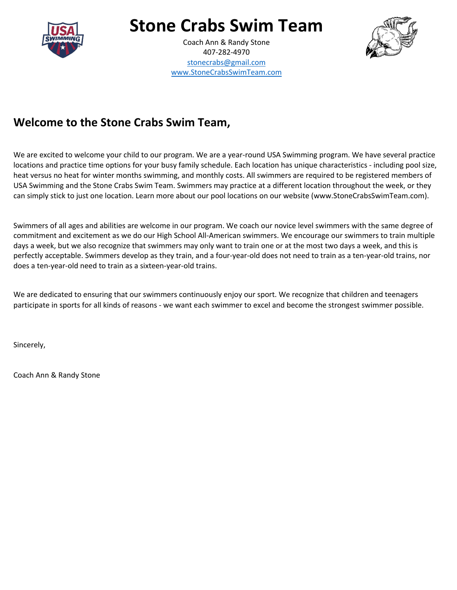

## **Stone Crabs Swim Team**

Coach Ann & Randy Stone 407-282-4970 stonecrabs@gmail.com www.StoneCrabsSwimTeam.com



### **Welcome to the Stone Crabs Swim Team,**

We are excited to welcome your child to our program. We are a year-round USA Swimming program. We have several practice locations and practice time options for your busy family schedule. Each location has unique characteristics - including pool size, heat versus no heat for winter months swimming, and monthly costs. All swimmers are required to be registered members of USA Swimming and the Stone Crabs Swim Team. Swimmers may practice at a different location throughout the week, or they can simply stick to just one location. Learn more about our pool locations on our website (www.StoneCrabsSwimTeam.com).

Swimmers of all ages and abilities are welcome in our program. We coach our novice level swimmers with the same degree of commitment and excitement as we do our High School All-American swimmers. We encourage our swimmers to train multiple days a week, but we also recognize that swimmers may only want to train one or at the most two days a week, and this is perfectly acceptable. Swimmers develop as they train, and a four-year-old does not need to train as a ten-year-old trains, nor does a ten-year-old need to train as a sixteen-year-old trains.

We are dedicated to ensuring that our swimmers continuously enjoy our sport. We recognize that children and teenagers participate in sports for all kinds of reasons - we want each swimmer to excel and become the strongest swimmer possible.

Sincerely,

Coach Ann & Randy Stone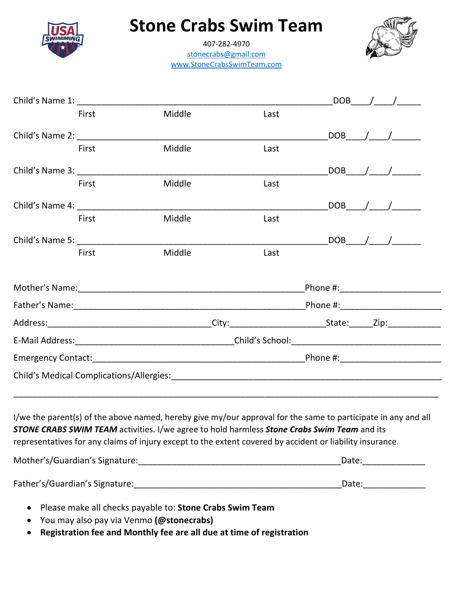

## **Stone Crabs Swim Team**

407-282-4970 stonecrabs@gmail.com www.StoneCrabsSwimTeam.com



|                                                                                                                                                                                                                                                                                                                                         |       |        |                                                                                                                |  |  | $DOB$ / / |  |
|-----------------------------------------------------------------------------------------------------------------------------------------------------------------------------------------------------------------------------------------------------------------------------------------------------------------------------------------|-------|--------|----------------------------------------------------------------------------------------------------------------|--|--|-----------|--|
|                                                                                                                                                                                                                                                                                                                                         | First | Middle | Last                                                                                                           |  |  |           |  |
| Child's Name 2: The Child's Name 2:                                                                                                                                                                                                                                                                                                     |       |        |                                                                                                                |  |  | $DOB$ / / |  |
|                                                                                                                                                                                                                                                                                                                                         | First | Middle | Last                                                                                                           |  |  |           |  |
| Child's Name 3:                                                                                                                                                                                                                                                                                                                         |       |        |                                                                                                                |  |  | $DOB$ / / |  |
|                                                                                                                                                                                                                                                                                                                                         | First | Middle | Last                                                                                                           |  |  |           |  |
| Child's Name 4:                                                                                                                                                                                                                                                                                                                         |       |        |                                                                                                                |  |  | $DOB$ / / |  |
|                                                                                                                                                                                                                                                                                                                                         | First | Middle | Last                                                                                                           |  |  |           |  |
| Child's Name 5:                                                                                                                                                                                                                                                                                                                         |       |        |                                                                                                                |  |  | $DOB$ / / |  |
|                                                                                                                                                                                                                                                                                                                                         | First | Middle | Last                                                                                                           |  |  |           |  |
|                                                                                                                                                                                                                                                                                                                                         |       |        |                                                                                                                |  |  |           |  |
|                                                                                                                                                                                                                                                                                                                                         |       |        |                                                                                                                |  |  |           |  |
|                                                                                                                                                                                                                                                                                                                                         |       |        |                                                                                                                |  |  |           |  |
|                                                                                                                                                                                                                                                                                                                                         |       |        |                                                                                                                |  |  |           |  |
|                                                                                                                                                                                                                                                                                                                                         |       |        | Emergency Contact: National Contract Contract Contract Contract Contract Contract Contract Contract Contract C |  |  |           |  |
|                                                                                                                                                                                                                                                                                                                                         |       |        |                                                                                                                |  |  |           |  |
|                                                                                                                                                                                                                                                                                                                                         |       |        |                                                                                                                |  |  |           |  |
| I/we the parent(s) of the above named, hereby give my/our approval for the same to participate in any and all<br><b>STONE CRABS SWIM TEAM</b> activities. I/we agree to hold harmless <b>Stone Crabs Swim Team</b> and its<br>representatives for any claims of injury except to the extent covered by accident or liability insurance. |       |        |                                                                                                                |  |  |           |  |
|                                                                                                                                                                                                                                                                                                                                         |       |        |                                                                                                                |  |  |           |  |
|                                                                                                                                                                                                                                                                                                                                         |       |        |                                                                                                                |  |  |           |  |

- Please make all checks payable to: **Stone Crabs Swim Team**
- You may also pay via Venmo **(@stonecrabs)**
- **Registration fee and Monthly fee are all due at time of registration**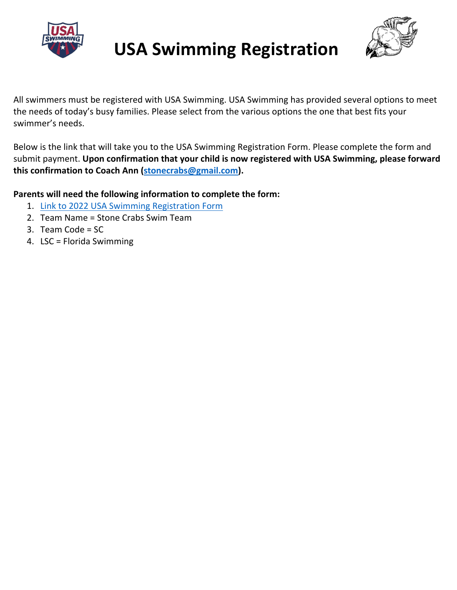

# **USA Swimming Registration**



All swimmers must be registered with USA Swimming. USA Swimming has provided several options to meet the needs of today's busy families. Please select from the various options the one that best fits your swimmer's needs.

Below is the link that will take you to the USA Swimming Registration Form. Please complete the form and submit payment. **Upon confirmation that your child is now registered with USA Swimming, please forward this confirmation to Coach Ann (stonecrabs@gmail.com).**

#### **Parents will need the following information to complete the form:**

- 1. [Link to 2022 USA Swimming Registration Form](https://www.cognitoforms.com/FloridaSwimming1/_2022USASwimmingAthleteRegistrationApplication)
- 2. Team Name = Stone Crabs Swim Team
- 3. Team Code = SC
- 4. LSC = Florida Swimming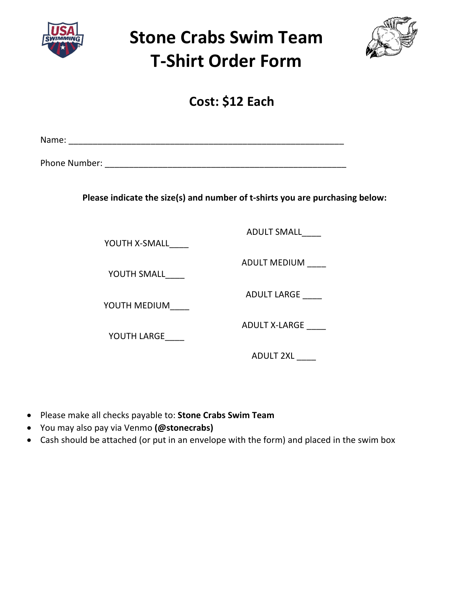

**Stone Crabs Swim Team T-Shirt Order Form**



**Cost: \$12 Each**

Name: \_\_\_\_\_\_\_\_\_\_\_\_\_\_\_\_\_\_\_\_\_\_\_\_\_\_\_\_\_\_\_\_\_\_\_\_\_\_\_\_\_\_\_\_\_\_\_\_\_\_\_\_\_\_\_\_\_

Phone Number: **with a set of the set of the set of the set of the set of the set of the set of the set of the set of the set of the set of the set of the set of the set of the set of the set of the set of the set of the se** 

**Please indicate the size(s) and number of t-shirts you are purchasing below:**

YOUTH X-SMALL\_\_\_\_

YOUTH SMALL

YOUTH MEDIUM\_\_\_\_

YOUTH LARGE

ADULT SMALL\_\_\_\_

ADULT MEDIUM \_\_\_\_

ADULT LARGE

ADULT X-LARGE \_\_\_\_\_

ADULT 2XL \_\_\_\_

- Please make all checks payable to: **Stone Crabs Swim Team**
- You may also pay via Venmo **(@stonecrabs)**
- Cash should be attached (or put in an envelope with the form) and placed in the swim box